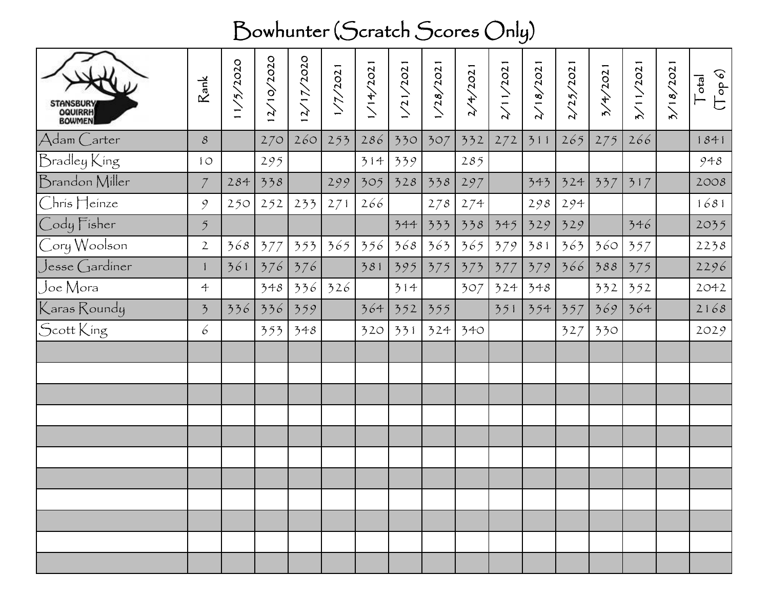## Bowhunter (Scratch Scores Only)

| STANSBURY<br>OQUIRRH<br>BOWMEN | $\mathsf{Rank}$          | 1/5/2020 | 2/10/2020 | /2020<br>$\frac{2}{1}$<br>$\mathcal{L}$ | 1/7/2021 | 1/14/2021 | 1/21/2021 | /28/2021 | 2/4/2021 | 2/11/2021 | 18/2021 | /25/2021 | 4/2021 | 3/11/2021 | 3/18/2021 | $(\rho d\sigma$<br>$ e^{i\phi}$<br>ヒ |
|--------------------------------|--------------------------|----------|-----------|-----------------------------------------|----------|-----------|-----------|----------|----------|-----------|---------|----------|--------|-----------|-----------|--------------------------------------|
| Adam Carter                    | $\mathcal S$             |          | 270       | 260                                     | 253      | 286       | 330       | 307      | 332      | 272       | 311     | 265      | 275    | 266       |           | 1841                                 |
| Bradley King                   | 10                       |          | 295       |                                         |          | 314       | 339       |          | 285      |           |         |          |        |           |           | 948                                  |
| Brandon Miller                 | $\mathcal I$             | 284      | 338       |                                         | 299      | 305       | 328       | 338      | 297      |           | 343     | 524      | 337    | 317       |           | 2008                                 |
| Chris Heinze                   | 9                        | 250      | 252       | 233                                     | 271      | 266       |           | 278      | 274      |           | 298     | 294      |        |           |           | 1681                                 |
| Cody Fisher                    | $\mathfrak{H}$           |          |           |                                         |          |           | 344       | 333      | 338      | 345       | 329     | 329      |        | 346       |           | 2035                                 |
| Cory Woolson                   | $\mathbf{2}$             | 368      | 377       | 353                                     | 365      | 356       | 368       | 363      | 365      | 379       | 381     | 363      | 360    | 357       |           | 2238                                 |
| $Jesse$ $Gard$ iner            | $\mathbf{1}$             | 361      | 376       | 376                                     |          | 381       | 395       | 375      | 373      | 377       | 379     | 366      | 388    | 375       |           | 2296                                 |
| Joe Mora                       | $\ddot{\mathcal{L}}$     |          | 348       | 336                                     | 326      |           | 314       |          | 307      | 324       | 348     |          | 332    | 352       |           | 2042                                 |
| Karas Roundy                   | $\overline{\mathcal{L}}$ | 336      | 336       | 359                                     |          | 364       | 352       | 355      |          | 351       | 554     | 357      | 369    | 364       |           | 2168                                 |
| Scott King                     | 6                        |          | 353       | 348                                     |          | 320       | 331       | 324      | 340      |           |         | 327      | 330    |           |           | 2029                                 |
|                                |                          |          |           |                                         |          |           |           |          |          |           |         |          |        |           |           |                                      |
|                                |                          |          |           |                                         |          |           |           |          |          |           |         |          |        |           |           |                                      |
|                                |                          |          |           |                                         |          |           |           |          |          |           |         |          |        |           |           |                                      |
|                                |                          |          |           |                                         |          |           |           |          |          |           |         |          |        |           |           |                                      |
|                                |                          |          |           |                                         |          |           |           |          |          |           |         |          |        |           |           |                                      |
|                                |                          |          |           |                                         |          |           |           |          |          |           |         |          |        |           |           |                                      |
|                                |                          |          |           |                                         |          |           |           |          |          |           |         |          |        |           |           |                                      |
|                                |                          |          |           |                                         |          |           |           |          |          |           |         |          |        |           |           |                                      |
|                                |                          |          |           |                                         |          |           |           |          |          |           |         |          |        |           |           |                                      |
|                                |                          |          |           |                                         |          |           |           |          |          |           |         |          |        |           |           |                                      |
|                                |                          |          |           |                                         |          |           |           |          |          |           |         |          |        |           |           |                                      |